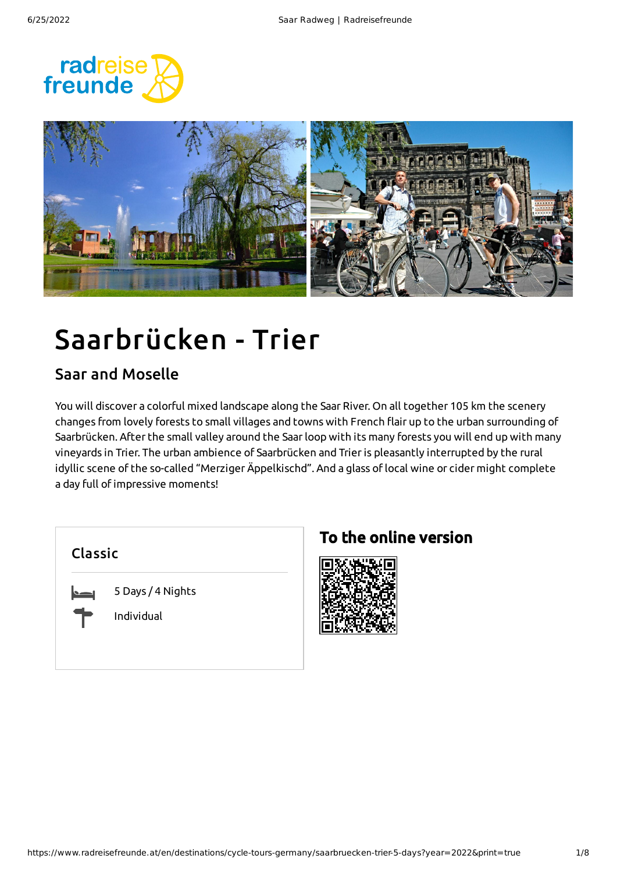



# Saarbrücken - Trier

### Saar and Moselle

You will discover a colorful mixed landscape along the Saar River. On all together 105 km the scenery changes from lovely forests to small villages and towns with French flair up to the urban surrounding of Saarbrücken. After the small valley around the Saarloop with its many forests you will end up with many vineyards in Trier. The urban ambience of Saarbrücken and Trieris pleasantly interrupted by the rural idyllic scene of the so-called "Merziger Äppelkischd". And a glass oflocal wine or cider might complete a day full of impressive moments!

| Classic |  |  |  |
|---------|--|--|--|
|         |  |  |  |

5 Days / 4 Nights

Individual

### To the online version

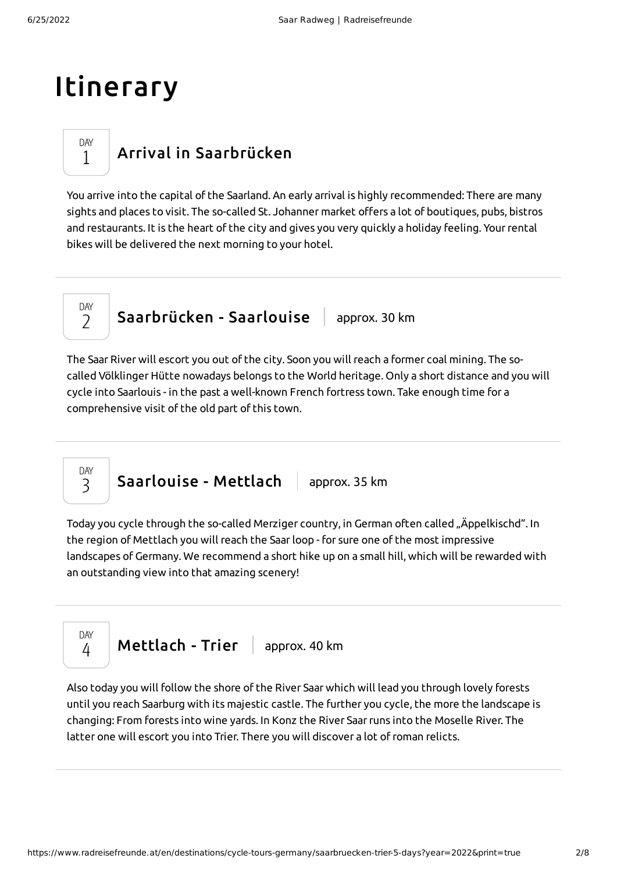## Itinerary

### Arrival in [Saarbrücken](#page-1-0)

<span id="page-1-0"></span>You arrive into the capital of the Saarland. An early arrival is highly recommended: There are many sights and places to visit. The so-called St. Johanner market offers a lot of boutiques, pubs, bistros and restaurants. It is the heart of the city and gives you very quickly a holiday feeling. Yourrental bikes will be delivered the next morning to your hotel.

DAY  $\overline{\phantom{a}}$ 

DAY 1

 $S$ aarbrücken - Saarlouise  $\parallel$  approx. 30 km

<span id="page-1-1"></span>The Saar River will escort you out of the city. Soon you will reach a former coal mining. The socalled Völklinger Hütte nowadays belongs to the World heritage. Only a short distance and you will cycle into Saarlouis - in the past a well-known French fortress town. Take enough time for a comprehensive visit of the old part of this town.

[Saarlouise](#page-1-2) - Mettlach | approx. 35 km DAY 3

<span id="page-1-2"></span>Today you cycle through the so-called Merziger country, in German often called "Äppelkischd". In the region of Mettlach you will reach the Saarloop - for sure one of the most impressive landscapes of Germany. We recommend a short hike up on a small hill, which will be rewarded with an outstanding view into that amazing scenery!



<span id="page-1-3"></span>Also today you will follow the shore of the River Saar which will lead you through lovely forests until you reach Saarburg with its majestic castle. The further you cycle, the more the landscape is changing: From forests into wine yards. In Konz the River Saarruns into the Moselle River. The latter one will escort you into Trier. There you will discover a lot ofroman relicts.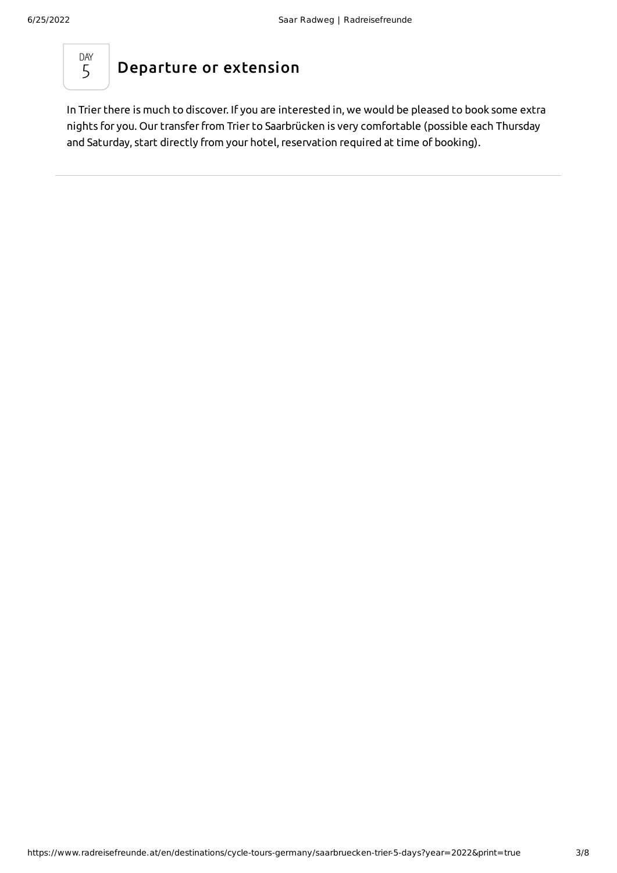

<span id="page-2-0"></span>In Trier there is much to discover. If you are interested in, we would be pleased to book some extra nights for you. Our transferfrom Trier to Saarbrücken is very comfortable (possible each Thursday and Saturday, start directly from your hotel, reservation required at time of booking).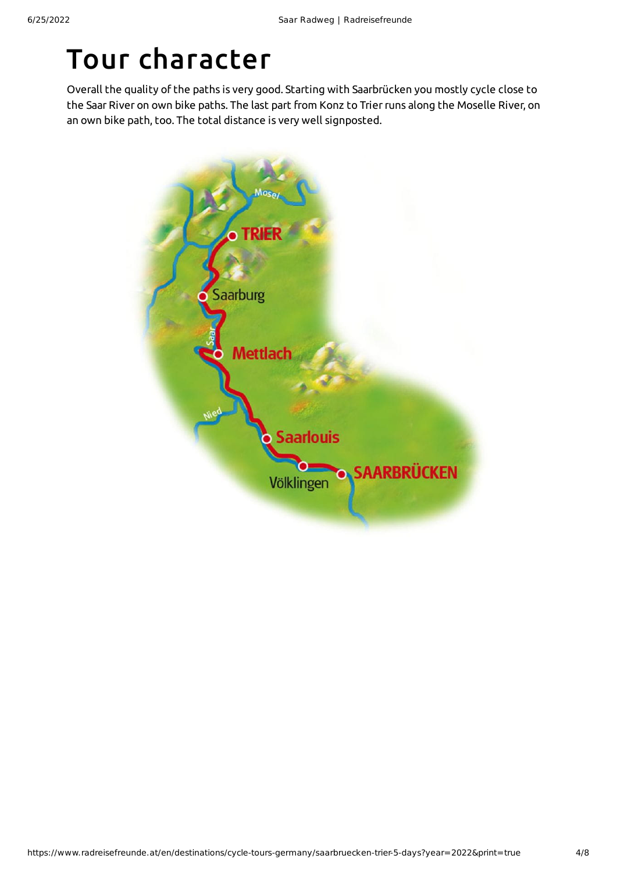## Tour character

Overall the quality of the paths is very good. Starting with Saarbrücken you mostly cycle close to the Saar River on own bike paths. The last part from Konz to Trierruns along the Moselle River, on an own bike path, too. The total distance is very well signposted.

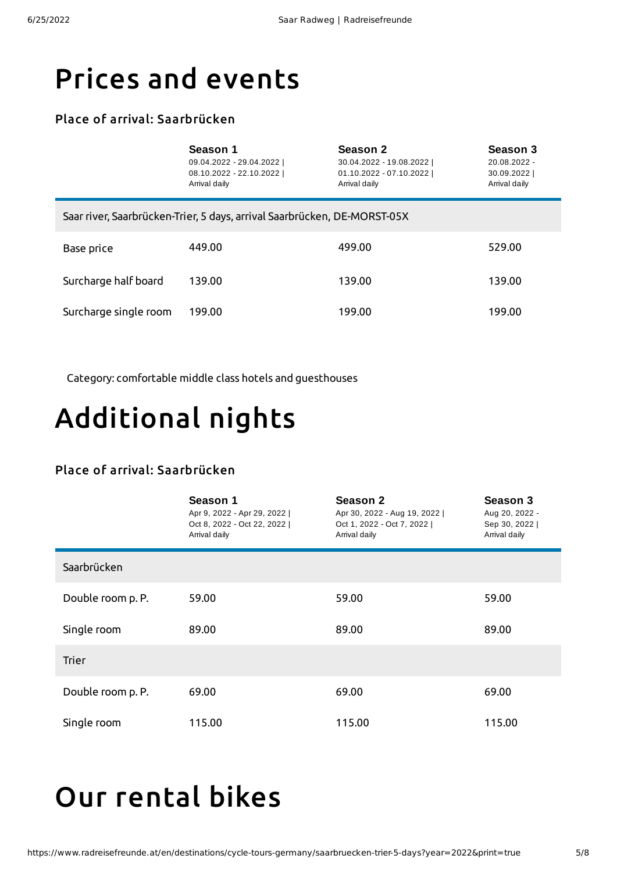### Prices and events

#### Place of arrival: Saarbrücken

|                                                                          | Season 1<br>09.04.2022 - 29.04.2022  <br>08.10.2022 - 22.10.2022  <br>Arrival daily | Season 2<br>30.04.2022 - 19.08.2022  <br>01.10.2022 - 07.10.2022  <br>Arrival daily | Season 3<br>20.08.2022 -<br>30.09.2022  <br>Arrival daily |  |  |
|--------------------------------------------------------------------------|-------------------------------------------------------------------------------------|-------------------------------------------------------------------------------------|-----------------------------------------------------------|--|--|
| Saar river, Saarbrücken-Trier, 5 days, arrival Saarbrücken, DE-MORST-05X |                                                                                     |                                                                                     |                                                           |  |  |
| Base price                                                               | 449.00                                                                              | 499.00                                                                              | 529.00                                                    |  |  |
| Surcharge half board                                                     | 139.00                                                                              | 139.00                                                                              | 139.00                                                    |  |  |
| Surcharge single room                                                    | 199.00                                                                              | 199.00                                                                              | 199.00                                                    |  |  |

Category: comfortable middle class hotels and guesthouses

# Additional nights

#### Place of arrival: Saarbrücken

|                   | Season 1<br>Apr 9, 2022 - Apr 29, 2022  <br>Oct 8, 2022 - Oct 22, 2022  <br>Arrival daily | Season 2<br>Apr 30, 2022 - Aug 19, 2022  <br>Oct 1, 2022 - Oct 7, 2022  <br>Arrival daily | Season 3<br>Aug 20, 2022 -<br>Sep 30, 2022  <br>Arrival daily |
|-------------------|-------------------------------------------------------------------------------------------|-------------------------------------------------------------------------------------------|---------------------------------------------------------------|
| Saarbrücken       |                                                                                           |                                                                                           |                                                               |
| Double room p. P. | 59.00                                                                                     | 59.00                                                                                     | 59.00                                                         |
| Single room       | 89.00                                                                                     | 89.00                                                                                     | 89.00                                                         |
| <b>Trier</b>      |                                                                                           |                                                                                           |                                                               |
| Double room p. P. | 69.00                                                                                     | 69.00                                                                                     | 69.00                                                         |
| Single room       | 115.00                                                                                    | 115.00                                                                                    | 115.00                                                        |

## <span id="page-4-0"></span>Our [rental](#page-4-0) bikes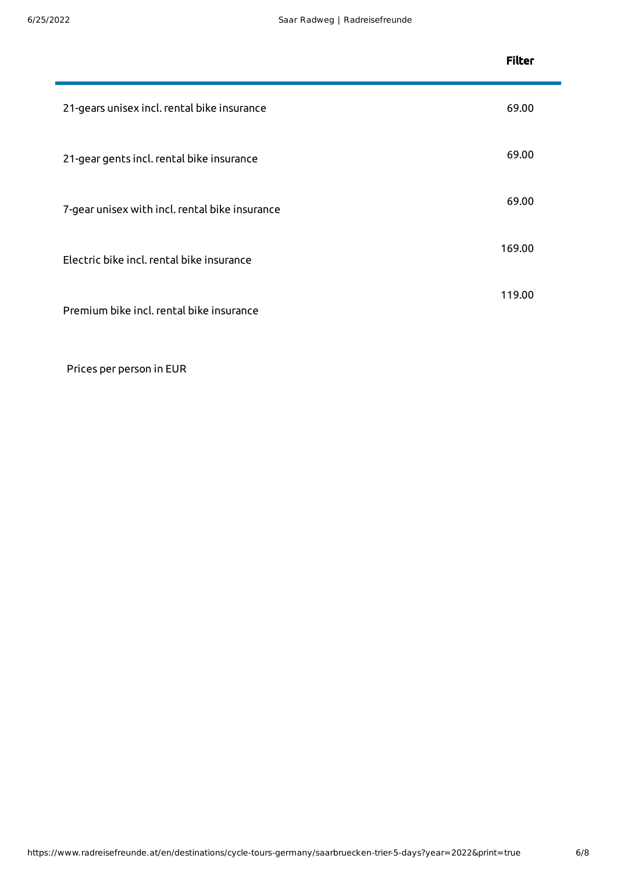|                                                | <b>Filter</b> |
|------------------------------------------------|---------------|
| 21-gears unisex incl. rental bike insurance    | 69.00         |
| 21-gear gents incl. rental bike insurance      | 69.00         |
| 7-gear unisex with incl. rental bike insurance | 69.00         |
| Electric bike incl. rental bike insurance      | 169.00        |
| Premium bike incl. rental bike insurance       | 119.00        |

Prices per person in EUR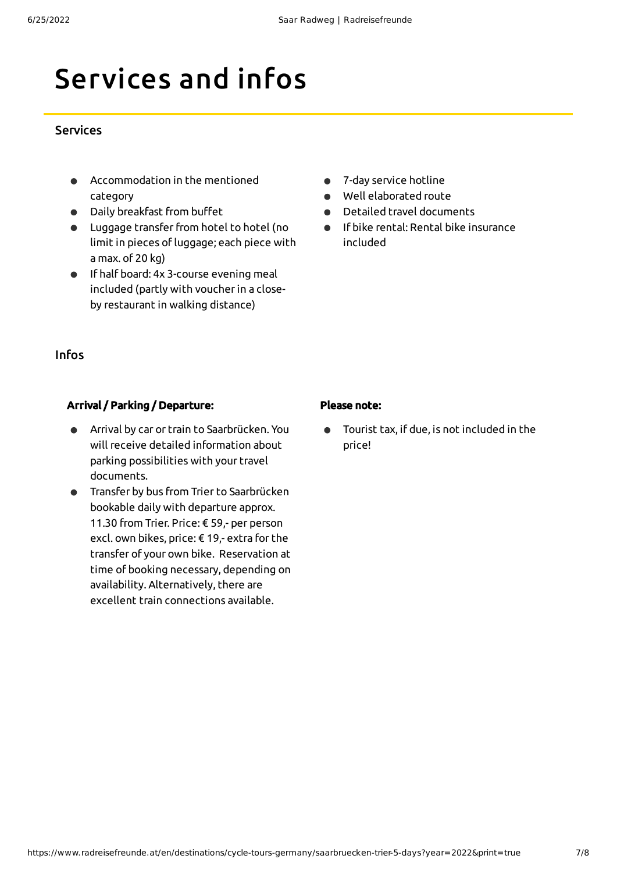## Services and infos

#### Services

- Accommodation in the mentioned category
- Daily breakfast from buffet
- $\bullet$  Luggage transfer from hotel to hotel (no limit in pieces of luggage; each piece with a max. of 20 kg)
- If half board: 4x 3-course evening meal included (partly with voucherin a closeby restaurant in walking distance)
- 7-day service hotline
- Well elaborated route
- Detailed travel documents  $\bullet$
- If bike rental: Rental bike insurance  $\bullet$ included

#### Infos

#### Arrival / Parking / Departure:

- Arrival by car or train to Saarbrücken. You  $\bullet$ will receive detailed information about parking possibilities with your travel documents.
- Transfer by bus from Trier to Saarbrücken bookable daily with departure approx. 11.30 from Trier. Price: € 59,- per person excl. own bikes, price: € 19,- extra for the transfer of your own bike. Reservation at time of booking necessary, depending on availability. Alternatively, there are excellent train connections available.

#### Please note:

Tourist tax, if due, is not included in the price!